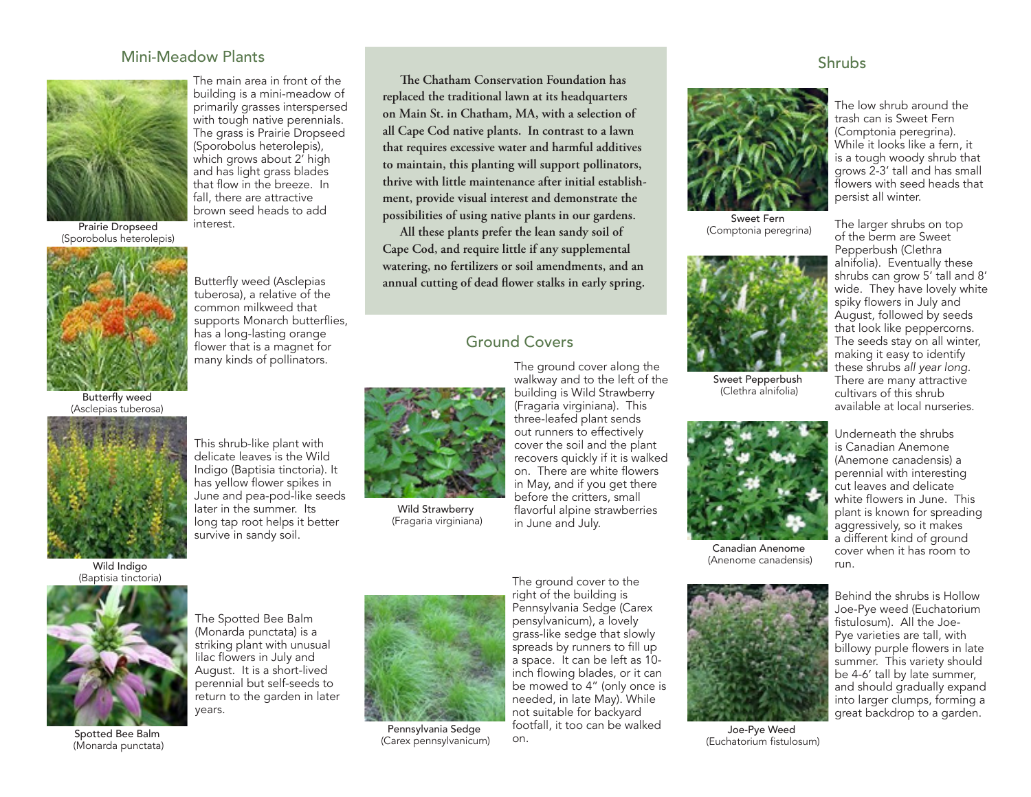#### Mini-Meadow Plants



The main area in front of the building is a mini-meadow of primarily grasses interspersed with tough native perennials. The grass is Prairie Dropseed (Sporobolus heterolepis), which grows about 2' high and has light grass blades that flow in the breeze. In fall, there are attractive brown seed heads to add interest.

Butterfly weed (Asclepias tuberosa), a relative of the common milkweed that supports Monarch butterflies, has a long-lasting orange

Prairie Dropseed (Sporobolus heterolepis)



flower that is a magnet for many kinds of pollinators.

Butterfly weed (Asclepias tuberosa)



Wild Indiao (Baptisia tinctoria)



**The Chatham Conservation Foundation has replaced the traditional lawn at its headquarters on Main St. in Chatham, MA, with a selection of all Cape Cod native plants. In contrast to a lawn that requires excessive water and harmful additives to maintain, this planting will support pollinators, thrive with little maintenance after initial establishment, provide visual interest and demonstrate the possibilities of using native plants in our gardens.**

**All these plants prefer the lean sandy soil of Cape Cod, and require little if any supplemental watering, no fertilizers or soil amendments, and an annual cutting of dead flower stalks in early spring.**

#### Ground Covers



Wild Strawberry (Fragaria virginiana)

The ground cover along the walkway and to the left of the building is Wild Strawberry (Fragaria virginiana). This three-leafed plant sends out runners to effectively cover the soil and the plant recovers quickly if it is walked on. There are white flowers in May, and if you get there before the critters, small flavorful alpine strawberries in June and July.



Sweet Fern (Comptonia peregrina)



Sweet Pepperbush (Clethra alnifolia)



Canadian Anenome (Anenome canadensis)



Joe-Pye Weed (Euchatorium fistulosum)

The low shrub around the trash can is Sweet Fern (Comptonia peregrina). While it looks like a fern, it is a tough woody shrub that grows 2-3' tall and has small flowers with seed heads that

persist all winter.

The larger shrubs on top of the berm are Sweet Pepperbush (Clethra alnifolia). Eventually these shrubs can grow 5' tall and 8' wide. They have lovely white spiky flowers in July and August, followed by seeds that look like peppercorns. The seeds stay on all winter, making it easy to identify these shrubs *all year long.*  There are many attractive cultivars of this shrub available at local nurseries.

Underneath the shrubs is Canadian Anemone (Anemone canadensis) a perennial with interesting cut leaves and delicate white flowers in June. This plant is known for spreading aggressively, so it makes a different kind of ground cover when it has room to run.

Behind the shrubs is Hollow Joe-Pye weed (Euchatorium fistulosum). All the Joe-Pye varieties are tall, with billowy purple flowers in late summer. This variety should be 4-6' tall by late summer, and should gradually expand into larger clumps, forming a great backdrop to a garden.



(Monarda punctata) is a striking plant with unusual lilac flowers in July and August. It is a short-lived perennial but self-seeds to years.

(Monarda punctata)

The Spotted Bee Balm return to the garden in later

Spotted Bee Balm





Pennsylvania Sedge (Carex pennsylvanicum)

The ground cover to the right of the building is Pennsylvania Sedge (Carex pensylvanicum), a lovely grass-like sedge that slowly spreads by runners to fill up a space. It can be left as 10 inch flowing blades, or it can be mowed to 4" (only once is needed, in late May). While not suitable for backyard footfall, it too can be walked on.

#### **Shrubs**